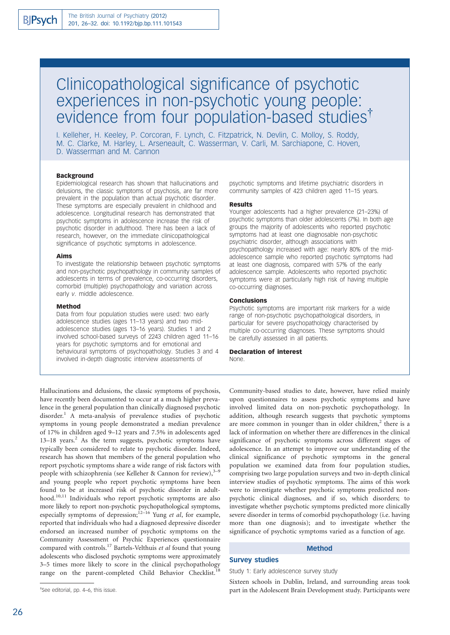# Clinicopathological significance of psychotic experiences in non-psychotic young people: evidence from four population-based studies<sup>†</sup>

I. Kelleher, H. Keeley, P. Corcoran, F. Lynch, C. Fitzpatrick, N. Devlin, C. Molloy, S. Roddy, M. C. Clarke, M. Harley, L. Arseneault, C. Wasserman, V. Carli, M. Sarchiapone, C. Hoven, D. Wasserman and M. Cannon

## Background

Epidemiological research has shown that hallucinations and delusions, the classic symptoms of psychosis, are far more prevalent in the population than actual psychotic disorder. These symptoms are especially prevalent in childhood and adolescence. Longitudinal research has demonstrated that psychotic symptoms in adolescence increase the risk of psychotic disorder in adulthood. There has been a lack of research, however, on the immediate clinicopathological significance of psychotic symptoms in adolescence.

## Aims

To investigate the relationship between psychotic symptoms and non-psychotic psychopathology in community samples of adolescents in terms of prevalence, co-occurring disorders, comorbid (multiple) psychopathology and variation across early v. middle adolescence.

#### Method

Data from four population studies were used: two early adolescence studies (ages 11–13 years) and two midadolescence studies (ages 13–16 years). Studies 1 and 2 involved school-based surveys of 2243 children aged 11–16 years for psychotic symptoms and for emotional and behavioural symptoms of psychopathology. Studies 3 and 4 involved in-depth diagnostic interview assessments of

psychotic symptoms and lifetime psychiatric disorders in community samples of 423 children aged 11–15 years.

#### Results

Younger adolescents had a higher prevalence (21–23%) of psychotic symptoms than older adolescents (7%). In both age groups the majority of adolescents who reported psychotic symptoms had at least one diagnosable non-psychotic psychiatric disorder, although associations with psychopathology increased with age: nearly 80% of the midadolescence sample who reported psychotic symptoms had at least one diagnosis, compared with 57% of the early adolescence sample. Adolescents who reported psychotic symptoms were at particularly high risk of having multiple co-occurring diagnoses.

# Conclusions

Psychotic symptoms are important risk markers for a wide range of non-psychotic psychopathological disorders, in particular for severe psychopathology characterised by multiple co-occurring diagnoses. These symptoms should be carefully assessed in all patients.

#### Declaration of interest None.

Hallucinations and delusions, the classic symptoms of psychosis, have recently been documented to occur at a much higher prevalence in the general population than clinically diagnosed psychotic disorder.<sup>1</sup> A meta-analysis of prevalence studies of psychotic symptoms in young people demonstrated a median prevalence of 17% in children aged 9–12 years and 7.5% in adolescents aged  $13-18$  years.<sup>2</sup> As the term suggests, psychotic symptoms have typically been considered to relate to psychotic disorder. Indeed, research has shown that members of the general population who report psychotic symptoms share a wide range of risk factors with people with schizophrenia (see Kelleher & Cannon for review),  $3-9$ and young people who report psychotic symptoms have been found to be at increased risk of psychotic disorder in adulthood.10,11 Individuals who report psychotic symptoms are also more likely to report non-psychotic psychopathological symptoms, especially symptoms of depression;<sup>12-16</sup> Yung et al, for example, reported that individuals who had a diagnosed depressive disorder endorsed an increased number of psychotic symptoms on the Community Assessment of Psychic Experiences questionnaire compared with controls.<sup>17</sup> Bartels-Velthuis et al found that young adolescents who disclosed psychotic symptoms were approximately 3–5 times more likely to score in the clinical psychopathology range on the parent-completed Child Behavior Checklist.<sup>1</sup>

Community-based studies to date, however, have relied mainly upon questionnaires to assess psychotic symptoms and have involved limited data on non-psychotic psychopathology. In addition, although research suggests that psychotic symptoms are more common in younger than in older children,<sup>2</sup> there is a lack of information on whether there are differences in the clinical significance of psychotic symptoms across different stages of adolescence. In an attempt to improve our understanding of the clinical significance of psychotic symptoms in the general population we examined data from four population studies, comprising two large population surveys and two in-depth clinical interview studies of psychotic symptoms. The aims of this work were to investigate whether psychotic symptoms predicted nonpsychotic clinical diagnoses, and if so, which disorders; to investigate whether psychotic symptoms predicted more clinically severe disorder in terms of comorbid psychopathology (i.e. having more than one diagnosis); and to investigate whether the significance of psychotic symptoms varied as a function of age.

# Method

# Survey studies

#### Study 1: Early adolescence survey study

Sixteen schools in Dublin, Ireland, and surrounding areas took part in the Adolescent Brain Development study. Participants were

<sup>{</sup> See editorial, pp. 4–6, this issue.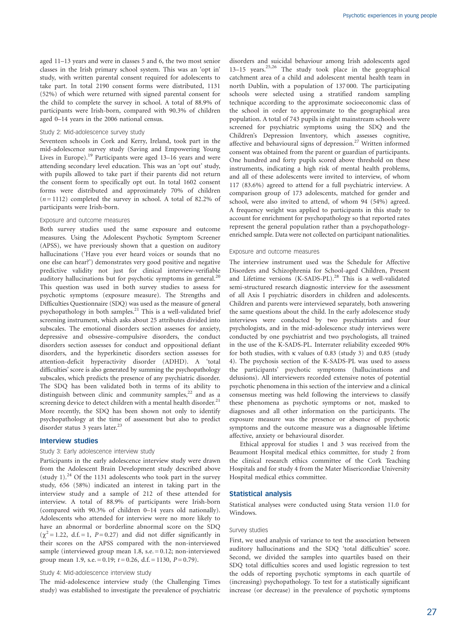aged 11–13 years and were in classes 5 and 6, the two most senior classes in the Irish primary school system. This was an 'opt in' study, with written parental consent required for adolescents to take part. In total 2190 consent forms were distributed, 1131 (52%) of which were returned with signed parental consent for the child to complete the survey in school. A total of 88.9% of participants were Irish-born, compared with 90.3% of children aged 0–14 years in the 2006 national census.

# Study 2: Mid-adolescence survey study

Seventeen schools in Cork and Kerry, Ireland, took part in the mid-adolescence survey study (Saving and Empowering Young Lives in Europe).<sup>19</sup> Participants were aged 13-16 years and were attending secondary level education. This was an 'opt out' study, with pupils allowed to take part if their parents did not return the consent form to specifically opt out. In total 1602 consent forms were distributed and approximately 70% of children  $(n=1112)$  completed the survey in school. A total of 82.2% of participants were Irish-born.

# Exposure and outcome measures

Both survey studies used the same exposure and outcome measures. Using the Adolescent Psychotic Symptom Screener (APSS), we have previously shown that a question on auditory hallucinations ('Have you ever heard voices or sounds that no one else can hear?') demonstrates very good positive and negative predictive validity not just for clinical interview-verifiable auditory hallucinations but for psychotic symptoms in general.<sup>20</sup> This question was used in both survey studies to assess for psychotic symptoms (exposure measure). The Strengths and Difficulties Questionnaire (SDQ) was used as the measure of general psychopathology in both samples.<sup>21</sup> This is a well-validated brief screening instrument, which asks about 25 attributes divided into subscales. The emotional disorders section assesses for anxiety, depressive and obsessive–compulsive disorders, the conduct disorders section assesses for conduct and oppositional defiant disorders, and the hyperkinetic disorders section assesses for attention-deficit hyperactivity disorder (ADHD). A 'total difficulties' score is also generated by summing the psychopathology subscales, which predicts the presence of any psychiatric disorder. The SDQ has been validated both in terms of its ability to distinguish between clinic and community samples, $22$  and as a screening device to detect children with a mental health disorder. $^{21}$ More recently, the SDQ has been shown not only to identify psychopathology at the time of assessment but also to predict disorder status 3 years later.<sup>23</sup>

## Interview studies

# Study 3: Early adolescence interview study

Participants in the early adolescence interview study were drawn from the Adolescent Brain Development study described above (study 1). $^{24}$  Of the 1131 adolescents who took part in the survey study, 656 (58%) indicated an interest in taking part in the interview study and a sample of 212 of these attended for interview. A total of 88.9% of participants were Irish-born (compared with 90.3% of children 0–14 years old nationally). Adolescents who attended for interview were no more likely to have an abnormal or borderline abnormal score on the SDQ  $(\chi^2 = 1.22, d.f. = 1, P = 0.27)$  and did not differ significantly in their scores on the APSS compared with the non-interviewed sample (interviewed group mean 1.8, s.e. = 0.12; non-interviewed group mean 1.9, s.e. = 0.19;  $t = 0.26$ , d.f. = 1130,  $P = 0.79$ ).

## Study 4: Mid-adolescence interview study

The mid-adolescence interview study (the Challenging Times study) was established to investigate the prevalence of psychiatric disorders and suicidal behaviour among Irish adolescents aged 13–15 years.25,26 The study took place in the geographical catchment area of a child and adolescent mental health team in north Dublin, with a population of 137 000. The participating schools were selected using a stratified random sampling technique according to the approximate socioeconomic class of the school in order to approximate to the geographical area population. A total of 743 pupils in eight mainstream schools were screened for psychiatric symptoms using the SDQ and the Children's Depression Inventory, which assesses cognitive, affective and behavioural signs of depression.<sup>27</sup> Written informed consent was obtained from the parent or guardian of participants. One hundred and forty pupils scored above threshold on these instruments, indicating a high risk of mental health problems, and all of these adolescents were invited to interview, of whom 117 (83.6%) agreed to attend for a full psychiatric interview. A comparison group of 173 adolescents, matched for gender and school, were also invited to attend, of whom 94 (54%) agreed. A frequency weight was applied to participants in this study to account for enrichment for psychopathology so that reported rates represent the general population rather than a psychopathologyenriched sample. Data were not collected on participant nationalities.

# Exposure and outcome measures

The interview instrument used was the Schedule for Affective Disorders and Schizophrenia for School-aged Children, Present and Lifetime versions (K-SADS-PL).<sup>28</sup> This is a well-validated semi-structured research diagnostic interview for the assessment of all Axis I psychiatric disorders in children and adolescents. Children and parents were interviewed separately, both answering the same questions about the child. In the early adolescence study interviews were conducted by two psychiatrists and four psychologists, and in the mid-adolescence study interviews were conducted by one psychiatrist and two psychologists, all trained in the use of the K-SADS-PL. Interrater reliability exceeded 90% for both studies, with  $\kappa$  values of 0.83 (study 3) and 0.85 (study 4). The psychosis section of the K-SADS-PL was used to assess the participants' psychotic symptoms (hallucinations and delusions). All interviewers recorded extensive notes of potential psychotic phenomena in this section of the interview and a clinical consensus meeting was held following the interviews to classify these phenomena as psychotic symptoms or not, masked to diagnoses and all other information on the participants. The exposure measure was the presence or absence of psychotic symptoms and the outcome measure was a diagnosable lifetime affective, anxiety or behavioural disorder.

Ethical approval for studies 1 and 3 was received from the Beaumont Hospital medical ethics committee, for study 2 from the clinical research ethics committee of the Cork Teaching Hospitals and for study 4 from the Mater Misericordiae University Hospital medical ethics committee.

# Statistical analysis

Statistical analyses were conducted using Stata version 11.0 for Windows.

#### Survey studies

First, we used analysis of variance to test the association between auditory hallucinations and the SDQ 'total difficulties' score. Second, we divided the samples into quartiles based on their SDQ total difficulties scores and used logistic regression to test the odds of reporting psychotic symptoms in each quartile of (increasing) psychopathology. To test for a statistically significant increase (or decrease) in the prevalence of psychotic symptoms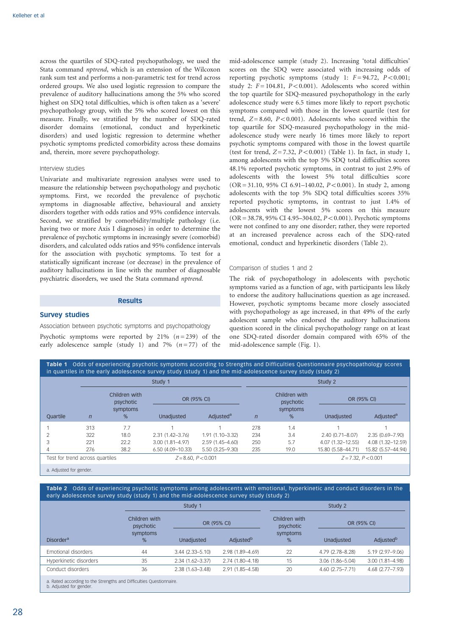across the quartiles of SDQ-rated psychopathology, we used the Stata command nptrend, which is an extension of the Wilcoxon rank sum test and performs a non-parametric test for trend across ordered groups. We also used logistic regression to compare the prevalence of auditory hallucinations among the 5% who scored highest on SDQ total difficulties, which is often taken as a 'severe' psychopathology group, with the 5% who scored lowest on this measure. Finally, we stratified by the number of SDQ-rated disorder domains (emotional, conduct and hyperkinetic disorders) and used logistic regression to determine whether psychotic symptoms predicted comorbidity across these domains and, therein, more severe psychopathology.

# Interview studies

Univariate and multivariate regression analyses were used to measure the relationship between psychopathology and psychotic symptoms. First, we recorded the prevalence of psychotic symptoms in diagnosable affective, behavioural and anxiety disorders together with odds ratios and 95% confidence intervals. Second, we stratified by comorbidity/multiple pathology (i.e. having two or more Axis I diagnoses) in order to determine the prevalence of psychotic symptoms in increasingly severe (comorbid) disorders, and calculated odds ratios and 95% confidence intervals for the association with psychotic symptoms. To test for a statistically significant increase (or decrease) in the prevalence of auditory hallucinations in line with the number of diagnosable psychiatric disorders, we used the Stata command nptrend.

# **Results**

## Survey studies

Association between psychotic symptoms and psychopathology Psychotic symptoms were reported by 21%  $(n=239)$  of the early adolescence sample (study 1) and 7%  $(n=77)$  of the mid-adolescence sample (study 2). Increasing 'total difficulties' scores on the SDQ were associated with increasing odds of reporting psychotic symptoms (study 1:  $F = 94.72$ ,  $P < 0.001$ ; study 2:  $F = 104.81$ ,  $P < 0.001$ ). Adolescents who scored within the top quartile for SDQ-measured psychopathology in the early adolescence study were 6.5 times more likely to report psychotic symptoms compared with those in the lowest quartile (test for trend,  $Z = 8.60$ ,  $P < 0.001$ ). Adolescents who scored within the top quartile for SDQ-measured psychopathology in the midadolescence study were nearly 16 times more likely to report psychotic symptoms compared with those in the lowest quartile (test for trend,  $Z = 7.32$ ,  $P < 0.001$ ) (Table 1). In fact, in study 1, among adolescents with the top 5% SDQ total difficulties scores 48.1% reported psychotic symptoms, in contrast to just 2.9% of adolescents with the lowest 5% total difficulties score  $(OR = 31.10, 95\% \text{ CI } 6.91 - 140.02, P < 0.001)$ . In study 2, among adolescents with the top 5% SDQ total difficulties scores 35% reported psychotic symptoms, in contrast to just 1.4% of adolescents with the lowest 5% scores on this measure  $(OR = 38.78, 95\% \text{ CI } 4.95-304.02, P < 0.001)$ . Psychotic symptoms were not confined to any one disorder; rather, they were reported at an increased prevalence across each of the SDQ-rated emotional, conduct and hyperkinetic disorders (Table 2).

# Comparison of studies 1 and 2

The risk of psychopathology in adolescents with psychotic symptoms varied as a function of age, with participants less likely to endorse the auditory hallucinations question as age increased. However, psychotic symptoms became more closely associated with psychopathology as age increased, in that 49% of the early adolescent sample who endorsed the auditory hallucinations question scored in the clinical psychopathology range on at least one SDQ-rated disorder domain compared with 65% of the mid-adolescence sample (Fig. 1).

|                                 | Study 1        |                                             |                       |                       | Study 2        |                            |                       |                       |  |
|---------------------------------|----------------|---------------------------------------------|-----------------------|-----------------------|----------------|----------------------------|-----------------------|-----------------------|--|
|                                 | $\overline{n}$ | Children with<br>psychotic<br>symptoms<br>% | OR (95% CI)           |                       |                | Children with<br>psychotic | OR (95% CI)           |                       |  |
| <b>Ouartile</b>                 |                |                                             | Unadiusted            | Adiusted <sup>a</sup> | $\overline{n}$ | symptoms<br>%              | Unadiusted            | Adjusted <sup>a</sup> |  |
|                                 | 313            | 7.7                                         |                       |                       | 278            | 1.4                        |                       |                       |  |
|                                 | 322            | 18.0                                        | $2.31(1.42 - 3.76)$   | $1.91(1.10 - 3.32)$   | 234            | 3.4                        | $2.40(0.71 - 8.07)$   | 2.35 (0.69-7.90)      |  |
|                                 | 221            | 22.2                                        | $3.00(1.81 - 4.97)$   | 2.59 (1.45-4.60)      | 250            | 5.7                        | 4.07 (1.32-12.55)     | 4.08 (1.32-12.59)     |  |
|                                 | 276            | 38.2                                        | $6.50(4.09 - 10.33)$  | $5.50(3.25 - 9.30)$   | 235            | 19.0                       | 15.80 (5.58-44.71)    | 15.82 (5.57-44.94)    |  |
| Test for trend across quartiles |                |                                             | $Z = 8.60, P < 0.001$ |                       |                |                            | $Z = 7.32, P < 0.001$ |                       |  |

a. Adjusted for gender.

Table 2 Odds of experiencing psychotic symptoms among adolescents with emotional, hyperkinetic and conduct disorders in the early adolescence survey study (study 1) and the mid-adolescence survey study (study 2)

|                                                                                                |                            | Study 1             |                       | Study 2                    |                     |                       |  |
|------------------------------------------------------------------------------------------------|----------------------------|---------------------|-----------------------|----------------------------|---------------------|-----------------------|--|
|                                                                                                | Children with<br>psychotic | OR (95% CI)         |                       | Children with<br>psychotic | OR (95% CI)         |                       |  |
| <b>Disorder</b> <sup>a</sup>                                                                   | symptoms<br>%              | Unadjusted          | Adjusted <sup>b</sup> | symptoms<br>%              | Unadjusted          | Adjusted <sup>b</sup> |  |
| Emotional disorders                                                                            | 44                         | $3.44(2.33 - 5.10)$ | 2.98 (1.89-4.69)      | 22                         | 4.79 (2.78-8.28)    | $5.19(2.97 - 9.06)$   |  |
| Hyperkinetic disorders                                                                         | 35                         | 2.34 (1.62-3.37)    | $2.74(1.80 - 4.18)$   | 15                         | $3.06(1.86 - 5.04)$ | $3.00(1.81 - 4.98)$   |  |
| Conduct disorders                                                                              | 36                         | $2.38(1.63 - 3.48)$ | 2.91 (1.85-4.58)      | 20                         | 4.60 (2.75–7.71)    | 4.68 (2.77-7.93)      |  |
| a. Rated according to the Strengths and Difficulties Questionnaire.<br>b. Adjusted for gender. |                            |                     |                       |                            |                     |                       |  |

28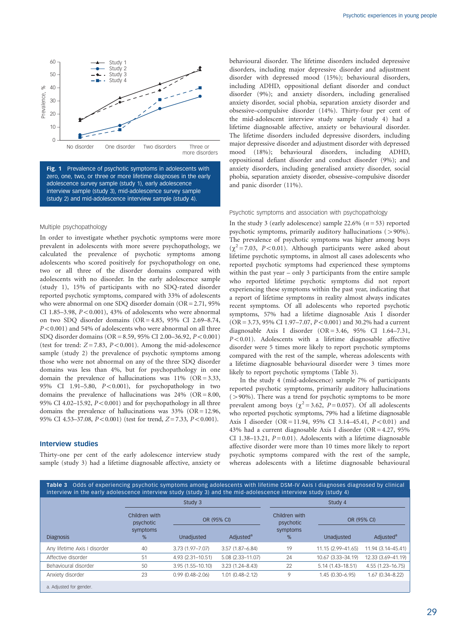

Fig. 1 Prevalence of psychotic symptoms in adolescents with zero, one, two, or three or more lifetime diagnoses in the early adolescence survey sample (study 1), early adolescence interview sample (study 3), mid-adolescence survey sample (study 2) and mid-adolescence interview sample (study 4).

#### Multiple psychopathology

In order to investigate whether psychotic symptoms were more prevalent in adolescents with more severe psychopathology, we calculated the prevalence of psychotic symptoms among adolescents who scored positively for psychopathology on one, two or all three of the disorder domains compared with adolescents with no disorder. In the early adolescence sample (study 1), 15% of participants with no SDQ-rated disorder reported psychotic symptoms, compared with 33% of adolescents who were abnormal on one SDQ disorder domain (OR = 2.71, 95% CI 1.85-3.98,  $P<0.001$ ), 43% of adolescents who were abnormal on two SDQ disorder domains  $(OR = 4.85, 95\% \text{ CI} 2.69-8.74,$  $P<0.001$ ) and 54% of adolescents who were abnormal on all three SDO disorder domains ( $OR = 8.59$ , 95% CI 2.00–36.92,  $P < 0.001$ ) (test for trend:  $Z = 7.83$ ,  $P < 0.001$ ). Among the mid-adolescence sample (study 2) the prevalence of psychotic symptoms among those who were not abnormal on any of the three SDQ disorder domains was less than 4%, but for psychopathology in one domain the prevalence of hallucinations was  $11\%$  (OR = 3.33, 95% CI 1.91-5.80,  $P < 0.001$ ), for psychopathology in two domains the prevalence of hallucinations was  $24\%$  (OR = 8.00, 95% CI 4.02–15.92,  $P<0.001$ ) and for psychopathology in all three domains the prevalence of hallucinations was 33% (OR = 12.96, 95% CI 4.53-37.08,  $P < 0.001$ ) (test for trend, Z= 7.33, P < 0.001).

# Interview studies

Thirty-one per cent of the early adolescence interview study sample (study 3) had a lifetime diagnosable affective, anxiety or behavioural disorder. The lifetime disorders included depressive disorders, including major depressive disorder and adjustment disorder with depressed mood (15%); behavioural disorders, including ADHD, oppositional defiant disorder and conduct disorder (9%); and anxiety disorders, including generalised anxiety disorder, social phobia, separation anxiety disorder and obsessive–compulsive disorder (14%). Thirty-four per cent of the mid-adolescent interview study sample (study 4) had a lifetime diagnosable affective, anxiety or behavioural disorder. The lifetime disorders included depressive disorders, including major depressive disorder and adjustment disorder with depressed mood (18%); behavioural disorders, including ADHD, oppositional defiant disorder and conduct disorder (9%); and anxiety disorders, including generalised anxiety disorder, social phobia, separation anxiety disorder, obsessive–compulsive disorder and panic disorder (11%).

#### Psychotic symptoms and association with psychopathology

In the study 3 (early adolescence) sample 22.6% ( $n = 53$ ) reported psychotic symptoms, primarily auditory hallucinations  $(>90\%)$ . The prevalence of psychotic symptoms was higher among boys  $(\chi^2 = 7.03, P < 0.01)$ . Although participants were asked about lifetime psychotic symptoms, in almost all cases adolescents who reported psychotic symptoms had experienced these symptoms within the past year – only 3 participants from the entire sample who reported lifetime psychotic symptoms did not report experiencing these symptoms within the past year, indicating that a report of lifetime symptoms in reality almost always indicates recent symptoms. Of all adolescents who reported psychotic symptoms, 57% had a lifetime diagnosable Axis I disorder  $(OR = 3.73, 95\% \text{ CI } 1.97 - 7.07, P < 0.001)$  and 30.2% had a current diagnosable Axis I disorder (OR = 3.46, 95% CI 1.64–7.31,  $P < 0.01$ ). Adolescents with a lifetime diagnosable affective disorder were 5 times more likely to report psychotic symptoms compared with the rest of the sample, whereas adolescents with a lifetime diagnosable behavioural disorder were 3 times more likely to report psychotic symptoms (Table 3).

In the study 4 (mid-adolescence) sample 7% of participants reported psychotic symptoms, primarily auditory hallucinations  $(>90\%)$ . There was a trend for psychotic symptoms to be more prevalent among boys ( $\chi^2$  = 3.62, *P* = 0.057). Of all adolescents who reported psychotic symptoms, 79% had a lifetime diagnosable Axis I disorder (OR = 11.94, 95% CI 3.14-45.41,  $P < 0.01$ ) and 43% had a current diagnosable Axis I disorder (OR = 4.27, 95% CI 1.38–13.21,  $P = 0.01$ ). Adolescents with a lifetime diagnosable affective disorder were more than 10 times more likely to report psychotic symptoms compared with the rest of the sample, whereas adolescents with a lifetime diagnosable behavioural

Table 3 Odds of experiencing psychotic symptoms among adolescents with lifetime DSM-IV Axis I diagnoses diagnosed by clinical interview in the early adolescence interview study (study 3) and the mid-adolescence interview study (study 4) Study 3 Study 4 Children with psychotic DR (95% CI) Children with psychotic DR (95% CI) Diagnosis symptoms % Unadjusted Adjusted<sup>a</sup> symptoms % Unadjusted Adjusted<sup>a</sup> Any lifetime Axis I disorder 40 3.73 (1.97 - 7.07) 3.57 (1.87 - 6.84) 19 11.15 (2.99 - 41.65) 11.94 (3.14 - 45.41) Affective disorder 51 51 4.93 (2.31–10.51) 5.08 (2.33–11.07) 24 10.67 (3.33–34.19) 12.33 (3.69–41.19) Behavioural disorder 50 3.95 (1.55–10.10) 3.23 (1.24–8.43) 22 5.14 (1.43–18.51) 4.55 (1.23–16.75) Anxiety disorder 23 0.99 (0.48–2.06) 1.01 (0.48–2.12) 9 1.45 (0.30–6.95) 1.67 (0.34–8.22) a. Adjusted for gender.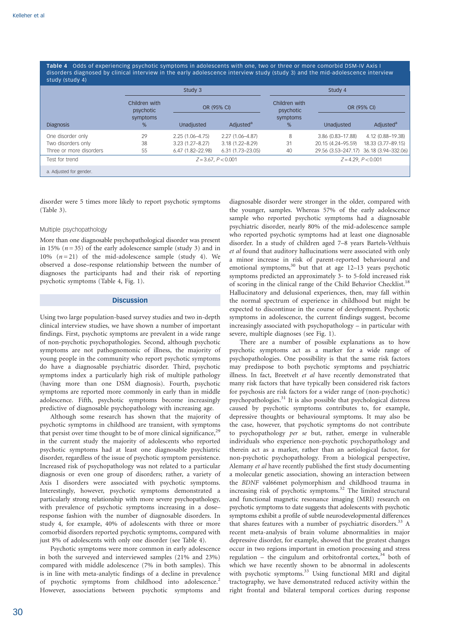Table 4 Odds of experiencing psychotic symptoms in adolescents with one, two or three or more comorbid DSM-IV Axis I disorders diagnosed by clinical interview in the early adolescence interview study (study 3) and the mid-adolescence interview study (study 4)

| $3144$ $3144$ $9$       |                            | Study 3               |                       | Study 4                    |                          |                       |
|-------------------------|----------------------------|-----------------------|-----------------------|----------------------------|--------------------------|-----------------------|
|                         | Children with<br>psychotic | OR (95% CI)           |                       | Children with<br>psychotic | OR (95% CI)              |                       |
| <b>Diagnosis</b>        | symptoms<br>$\%$           | Unadiusted            | Adjusted <sup>a</sup> | symptoms<br>%              | Unadjusted               | Adjusted <sup>a</sup> |
| One disorder only       | 29                         | 2.25 (1.06-4.75)      | $2.27(1.06 - 4.87)$   | 8                          | 3.86 (0.83-17.88)        | 4.12 (0.88-19.38)     |
| Two disorders only      | 38                         | $3.23(1.27 - 8.27)$   | $3.18(1.22 - 8.29)$   | 31                         | 20.15 (4.24-95.59)       | 18.33 (3.77-89.15)    |
| Three or more disorders | 55                         | $6.47(1.82 - 22.98)$  | $6.31(1.73 - 23.05)$  | 40                         | 29.56 (3.53-247.17)      | 36.18 (3.94-332.06)   |
| Test for trend          |                            | $Z = 3.67, P < 0.001$ |                       |                            | $Z = 4.29$ , $P < 0.001$ |                       |
| a. Adjusted for gender. |                            |                       |                       |                            |                          |                       |

disorder were 5 times more likely to report psychotic symptoms (Table 3).

## Multiple psychopathology

More than one diagnosable psychopathological disorder was present in 15% ( $n = 35$ ) of the early adolescence sample (study 3) and in 10%  $(n=21)$  of the mid-adolescence sample (study 4). We observed a dose–response relationship between the number of diagnoses the participants had and their risk of reporting psychotic symptoms (Table 4, Fig. 1).

# **Discussion**

Using two large population-based survey studies and two in-depth clinical interview studies, we have shown a number of important findings. First, psychotic symptoms are prevalent in a wide range of non-psychotic psychopathologies. Second, although psychotic symptoms are not pathognomonic of illness, the majority of young people in the community who report psychotic symptoms do have a diagnosable psychiatric disorder. Third, psychotic symptoms index a particularly high risk of multiple pathology (having more than one DSM diagnosis). Fourth, psychotic symptoms are reported more commonly in early than in middle adolescence. Fifth, psychotic symptoms become increasingly predictive of diagnosable psychopathology with increasing age.

Although some research has shown that the majority of psychotic symptoms in childhood are transient, with symptoms that persist over time thought to be of more clinical significance, $25$ in the current study the majority of adolescents who reported psychotic symptoms had at least one diagnosable psychiatric disorder, regardless of the issue of psychotic symptom persistence. Increased risk of psychopathology was not related to a particular diagnosis or even one group of disorders; rather, a variety of Axis I disorders were associated with psychotic symptoms. Interestingly, however, psychotic symptoms demonstrated a particularly strong relationship with more severe psychopathology, with prevalence of psychotic symptoms increasing in a dose– response fashion with the number of diagnosable disorders. In study 4, for example, 40% of adolescents with three or more comorbid disorders reported psychotic symptoms, compared with just 8% of adolescents with only one disorder (see Table 4).

Psychotic symptoms were more common in early adolescence in both the surveyed and interviewed samples (21% and 23%) compared with middle adolescence (7% in both samples). This is in line with meta-analytic findings of a decline in prevalence of psychotic symptoms from childhood into adolescence.<sup>2</sup> However, associations between psychotic symptoms and

diagnosable disorder were stronger in the older, compared with the younger, samples. Whereas 57% of the early adolescence sample who reported psychotic symptoms had a diagnosable psychiatric disorder, nearly 80% of the mid-adolescence sample who reported psychotic symptoms had at least one diagnosable disorder. In a study of children aged 7–8 years Bartels-Velthuis et al found that auditory hallucinations were associated with only a minor increase in risk of parent-reported behavioural and emotional symptoms,<sup>30</sup> but that at age 12-13 years psychotic symptoms predicted an approximately 3- to 5-fold increased risk of scoring in the clinical range of the Child Behavior Checklist.<sup>1</sup> Hallucinatory and delusional experiences, then, may fall within the normal spectrum of experience in childhood but might be expected to discontinue in the course of development. Psychotic symptoms in adolescence, the current findings suggest, become increasingly associated with psychopathology – in particular with severe, multiple diagnoses (see Fig. 1).

There are a number of possible explanations as to how psychotic symptoms act as a marker for a wide range of psychopathologies. One possibility is that the same risk factors may predispose to both psychotic symptoms and psychiatric illness. In fact, Breetvelt et al have recently demonstrated that many risk factors that have typically been considered risk factors for psychosis are risk factors for a wider range of (non-psychotic) psychopathologies.<sup>31</sup> It is also possible that psychological distress caused by psychotic symptoms contributes to, for example, depressive thoughts or behavioural symptoms. It may also be the case, however, that psychotic symptoms do not contribute to psychopathology per se but, rather, emerge in vulnerable individuals who experience non-psychotic psychopathology and therein act as a marker, rather than an aetiological factor, for non-psychotic psychopathology. From a biological perspective, Alemany et al have recently published the first study documenting a molecular genetic association, showing an interaction between the BDNF val66met polymorphism and childhood trauma in increasing risk of psychotic symptoms.<sup>32</sup> The limited structural and functional magnetic resonance imaging (MRI) research on psychotic symptoms to date suggests that adolescents with psychotic symptoms exhibit a profile of subtle neurodevelopmental differences that shares features with a number of psychiatric disorders.<sup>33</sup> A recent meta-analysis of brain volume abnormalities in major depressive disorder, for example, showed that the greatest changes occur in two regions important in emotion processing and stress regulation – the cingulum and orbitofrontal cortex,  $34$  both of which we have recently shown to be abnormal in adolescents with psychotic symptoms.<sup>33</sup> Using functional MRI and digital tractography, we have demonstrated reduced activity within the right frontal and bilateral temporal cortices during response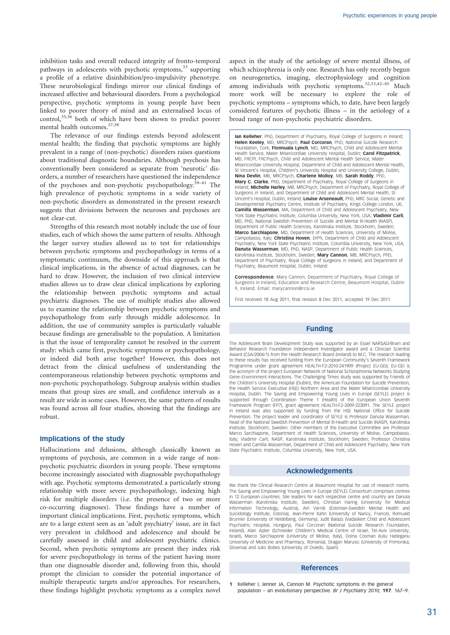inhibition tasks and overall reduced integrity of fronto-temporal pathways in adolescents with psychotic symptoms,<sup>33</sup> supporting a profile of a relative disinhibition/pro-impulsivity phenotype. These neurobiological findings mirror our clinical findings of increased affective and behavioural disorders. From a psychological perspective, psychotic symptoms in young people have been linked to poorer theory of mind and an externalised locus of control, $35,36$  both of which have been shown to predict poorer mental health outcomes.<sup>37,38</sup>

The relevance of our findings extends beyond adolescent mental health; the finding that psychotic symptoms are highly prevalent in a range of (non-psychotic) disorders raises questions about traditional diagnostic boundaries. Although psychosis has conventionally been considered as separate from 'neurotic' disorders, a number of researchers have questioned the independence of the psychoses and non-psychotic psychopathology.39–41 The high prevalence of psychotic symptoms in a wide variety of non-psychotic disorders as demonstrated in the present research suggests that divisions between the neuroses and psychoses are not clear-cut.

Strengths of this research most notably include the use of four studies, each of which shows the same pattern of results. Although the larger survey studies allowed us to test for relationships between psychotic symptoms and psychopathology in terms of a symptomatic continuum, the downside of this approach is that clinical implications, in the absence of actual diagnoses, can be hard to draw. However, the inclusion of two clinical interview studies allows us to draw clear clinical implications by exploring the relationship between psychotic symptoms and actual psychiatric diagnoses. The use of multiple studies also allowed us to examine the relationship between psychotic symptoms and psychopathology from early through middle adolescence. In addition, the use of community samples is particularly valuable because findings are generalisable to the population. A limitation is that the issue of temporality cannot be resolved in the current study: which came first, psychotic symptoms or psychopathology, or indeed did both arise together? However, this does not detract from the clinical usefulness of understanding the contemporaneous relationship between psychotic symptoms and non-psychotic psychopathology. Subgroup analysis within studies means that group sizes are small, and confidence intervals as a result are wide in some cases. However, the same pattern of results was found across all four studies, showing that the findings are robust.

## Implications of the study

Hallucinations and delusions, although classically known as symptoms of psychosis, are common in a wide range of nonpsychotic psychiatric disorders in young people. These symptoms become increasingly associated with diagnosable psychopathology with age. Psychotic symptoms demonstrated a particularly strong relationship with more severe psychopathology, indexing high risk for multiple disorders (i.e. the presence of two or more co-occurring diagnoses). These findings have a number of important clinical implications. First, psychotic symptoms, which are to a large extent seen as an 'adult psychiatry' issue, are in fact very prevalent in childhood and adolescence and should be carefully assessed in child and adolescent psychiatric clinics. Second, when psychotic symptoms are present they index risk for severe psychopathology in terms of the patient having more than one diagnosable disorder and, following from this, should prompt the clinician to consider the potential importance of multiple therapeutic targets and/or approaches. For researchers, these findings highlight psychotic symptoms as a complex novel

aspect in the study of the aetiology of severe mental illness, of which schizophrenia is only one. Research has only recently begun on neurogenetics, imaging, electrophysiology and cognition among individuals with psychotic symptoms.<sup>32,33,42-45</sup> Much more work will be necessary to explore the role of psychotic symptoms – symptoms which, to date, have been largely considered features of psychotic illness – in the aetiology of a broad range of non-psychotic psychiatric disorders.

Ian Kelleher, PhD, Department of Psychiatry, Royal College of Surgeons in Ireland; Helen Keeley, MD, MRCPsych, Paul Corcoran, PhD, National Suicide Research Foundation, Cork; Fionnuala Lynch, MD, MRCPsych, Child and Adolescent Mental Health Service, Mater Misericordiae University Hospital, Dublin: Carol Fitzpatrick MD, FRCPI, FRCPsych, Child and Adolescent Mental Health Service, Mater Misericordiae University Hospital, Department of Child and Adolescent Mental Health, St Vincent's Hospital, Children's University Hospital and University College, Dublin; Nina Devlin, MB, MRCPsych, Charlene Molloy, MB, Sarah Roddy, PhD, Mary C. Clarke, PhD, Department of Psychiatry, Royal College of Surgeons in Ireland; Michelle Harley, MB, MRCPsych, Department of Psychiatry, Royal College of Surgeons in Ireland, and Department of Child and Adolescent Mental Health, St Vincent's Hospital, Dublin, Ireland; Louise Arseneault, PhD, MRC Social, Genetic and Developmental Psychiatry Centre, Institute of Psychiatry, Kings College London, UK; Camilla Wasserman, MA, Department of Child and Adolescent Psychiatry, New York State Psychiatric Institute, Columbia University, New York, USA; Vladimir Carli, MD, PhD, National Swedish Prevention of Suicide and Mental Ill-Health (NASP), Department of Public Health Sciences, Karolinska Institute, Stockholm, Sweden; Marco Sarchiapone, MD, Department of Health Sciences, University of Molise, Campobasso, Italy; **Christina Hoven**, DrPh, Department of Child and Adolescent Psychiatry, New York State Psychiatric Institute, Columbia University, New York, USA; Danuta Wasserman, MD, PhD, NASP, Department of Public Health Sciences, Karolinska Institute, Stockholm, Sweden; Mary Cannon, MB, MRCPsych, PhD, Department of Psychiatry, Royal College of Surgeons in Ireland, and Department of Psychiatry, Beaumont Hospital, Dublin, Ireland

Correspondence: Mary Cannon, Department of Psychiatry, Royal College of Surgeons in Ireland, Education and Research Centre, Beaumont Hospital, Dublin 9, Ireland. Email: marycannon@rcsi.ie

First received 18 Aug 2011, final revision 8 Dec 2011, accepted 19 Dec 2011

# Funding

The Adolescent Brain Development Study was supported by an Essel NARSAD/Brain and Behavior Research Foundation Independent Investigator award and a Clinician Scientist Award (CSA/2004/1) from the Health Research Board (Ireland) to M.C. The research leading to these results has received funding from the European Community's Seventh Framework Programme under grant agreement HEALTH-F2-2010-241909 (Project EU-GEI); EU-GEI is the acronym of the project European Network of National Schizophrenia Networks Studying Gene–Environment Interactions. The Challenging Times study was supported by Friends of the Children's University Hospital (Dublin), the American Foundation for Suicide Prevention, the Health Service Executive (HSE) Northern Area and the Mater Misericordiae University Hospital, Dublin. The Saving and Empowering Young Lives in Europe (SEYLE) project is supported through Coordination Theme 1 (Health) of the European Union Seventh Framework Program (FP7), grant agreement HEALTH-F2-2009-223091. The SEYLE project in Ireland was also supported by funding from the HSE National Office for Suicide Prevention. The project leader and coordinator of SEYLE is Professor Danuta Wasserman, head of the National Swedish Prevention of Mental Ill-Health and Suicide (NASP), Karolinska Institute, Stockholm, Sweden. Other members of the Executive Committee are Professor Marco Sarchiapone, Department of Health Sciences, University of Molise, Campobasso, Italy; Vladimir Carli, NASP, Karolinska Institute, Stockholm, Sweden; Professor Christina Hoven and Camilla Wasserman, Department of Child and Adolescent Psychiatry, New York State Psychiatric Institute, Columbia University, New York, USA.

## Acknowledgements

We thank the Clinical Research Centre at Beaumont Hospital for use of research rooms. The Saving and Empowering Young Lives in Europe (SEYLE) Consortium comprises centres in 12 European countries. Site leaders for each respective centre and country are Danuta Wasserman (Karolinska Institute, Sweden), Christian Haring (University for Medical Information Technology, Austria), Airi Varnik (Estonian-Swedish Mental Health and Suicidology Institute, Estonia), Jean-Pierre Kahn (University of Nancy, France), Romuald Brunner (University of Heidelberg, Germany), Judit Balazs (Vadaskert Child and Adolescent Psychiatric Hospital, Hungary), Paul Corcoran (National Suicide Research Foundation, Ireland), Alan Apter (Schneider Children's Medical Centre of Israel, Tel-Aviv University, Israel), Marco Sarchiapone (University of Molise, Italy), Doina Cosman (Iuliu Hatieganu University of Medicine and Pharmacy, Romania), Dragan Marusic (University of Primorska, Slovenia) and Julio Bobes (University of Oviedo, Spain).

# References

Kelleher I, Jenner JA, Cannon M. Psychotic symptoms in the general population – an evolutionary perspective. Br J Psychiatry 2010; 197: 167–9.